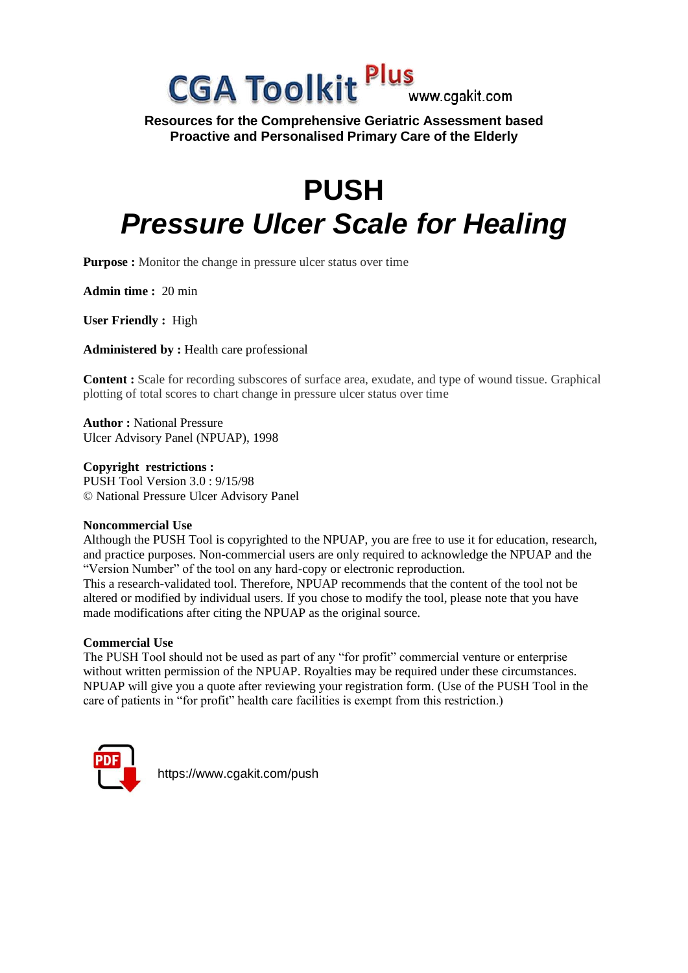## **CGA Toolkit Plus** www.caakit.com

**Resources for the Comprehensive Geriatric Assessment based Proactive and Personalised Primary Care of the Elderly**

# **PUSH** *Pressure Ulcer Scale for Healing*

**Purpose** : Monitor the change in pressure ulcer status over time

**Admin time :** 20 min

**User Friendly :** High

**Administered by :** Health care professional

**Content :** Scale for recording subscores of surface area, exudate, and type of wound tissue. Graphical plotting of total scores to chart change in pressure ulcer status over time

**Author :** National Pressure Ulcer Advisory Panel (NPUAP), 1998

**Copyright restrictions :** PUSH Tool Version 3.0 : 9/15/98 © National Pressure Ulcer Advisory Panel

## **Noncommercial Use**

Although the PUSH Tool is copyrighted to the NPUAP, you are free to use it for education, research, and practice purposes. Non-commercial users are only required to acknowledge the NPUAP and the "Version Number" of the tool on any hard-copy or electronic reproduction.

This a research-validated tool. Therefore, NPUAP recommends that the content of the tool not be altered or modified by individual users. If you chose to modify the tool, please note that you have made modifications after citing the NPUAP as the original source.

#### **Commercial Use**

The PUSH Tool should not be used as part of any "for profit" commercial venture or enterprise without written permission of the NPUAP. Royalties may be required under these circumstances. NPUAP will give you a quote after reviewing your registration form. (Use of the PUSH Tool in the care of patients in "for profit" health care facilities is exempt from this restriction.)



https://www.cgakit.com/push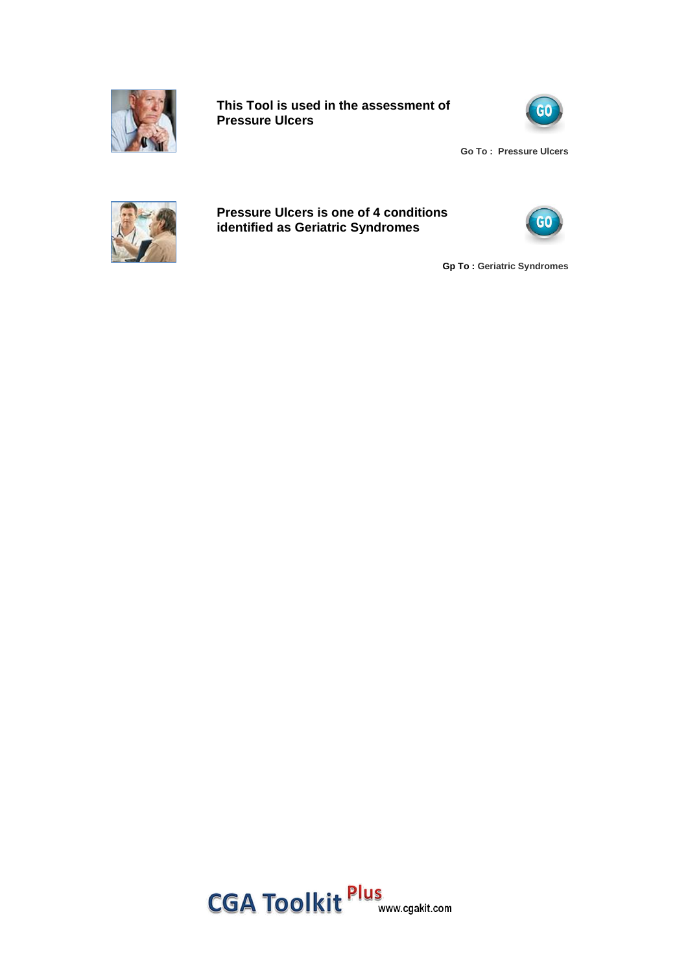

**This Tool is used in the assessment of Pressure Ulcers**



**Go To : Pressure Ulcers**



**Pressure Ulcers is one of 4 conditions identified as Geriatric Syndromes**



**Gp To : Geriatric Syndromes**

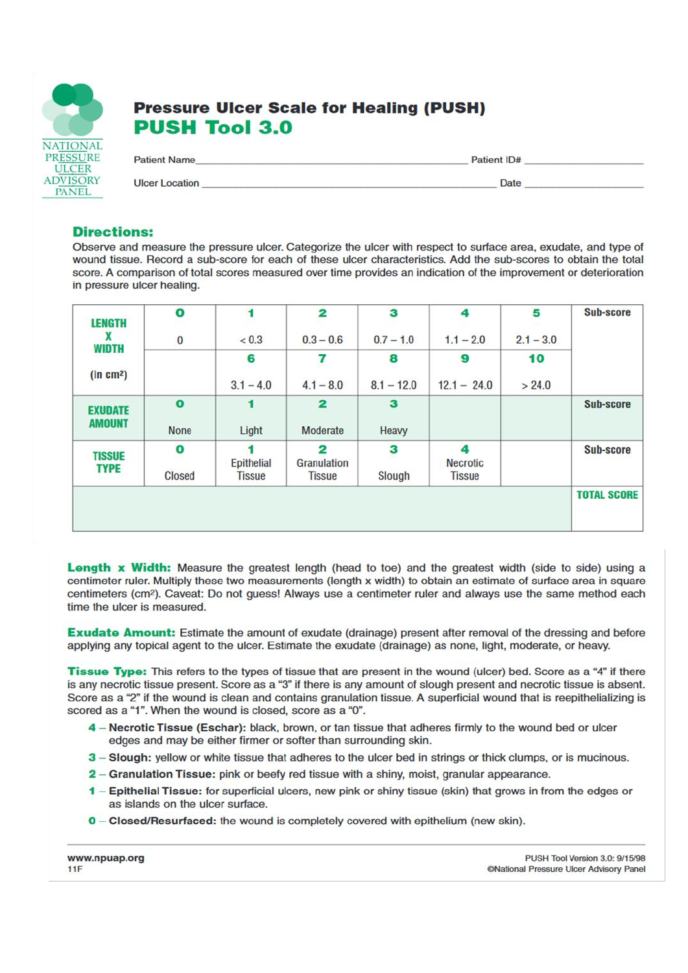

## **Pressure Ulcer Scale for Healing (PUSH) PUSH Tool 3.0**

| <b>Patient Name</b>   | Patient ID# |  |
|-----------------------|-------------|--|
| <b>Ulcer Location</b> | Date        |  |

### **Directions:**

Observe and measure the pressure ulcer. Categorize the ulcer with respect to surface area, exudate, and type of wound tissue. Record a sub-score for each of these ulcer characteristics. Add the sub-scores to obtain the total score. A comparison of total scores measured over time provides an indication of the improvement or deterioration in pressure ulcer healing.

| Sub-score          | 5           | 4                    | 3            | $\overline{\mathbf{2}}$       | 1               | $\mathbf o$   | <b>LENGTH</b>         |
|--------------------|-------------|----------------------|--------------|-------------------------------|-----------------|---------------|-----------------------|
|                    | $2.1 - 3.0$ | $1.1 - 2.0$          | $0.7 - 1.0$  | $0.3 - 0.6$                   | < 0.3           | $\pmb{0}$     | X                     |
|                    | 10          | 9                    | 8            | 7                             | 6               |               | <b>WIDTH</b>          |
|                    | > 24.0      | $12.1 - 24.0$        | $8.1 - 12.0$ | $4.1 - 8.0$                   | $3.1 - 4.0$     |               | (in cm <sup>2</sup> ) |
| Sub-score          |             |                      | з            | $\overline{\mathbf{z}}$       | 1               | $\bullet$     | <b>EXUDATE</b>        |
|                    |             |                      | Heavy        | Moderate                      | Light           | <b>None</b>   | <b>AMOUNT</b>         |
| Sub-score          |             | 4<br><b>Necrotic</b> | 3            | $\overline{2}$<br>Granulation | 4<br>Epithelial | $\bullet$     | <b>TISSUE</b>         |
|                    |             | <b>Tissue</b>        | Slough       | <b>Tissue</b>                 | <b>Tissue</b>   | <b>Closed</b> | <b>TYPE</b>           |
| <b>TOTAL SCORE</b> |             |                      |              |                               |                 |               |                       |

Longth x Width: Measure the greatest length (head to toe) and the greatest width (side to side) using a centimeter ruler. Multiply these two measurements (length x width) to obtain an estimate of surface area in square centimeters (cm<sup>2</sup>). Caveat: Do not guess! Always use a centimeter ruler and always use the same method each time the ulcer is measured.

**Exudate Amount:** Estimate the amount of exudate (drainage) present after removal of the dressing and before applying any topical agent to the ulcer. Estimate the exudate (drainage) as none, light, moderate, or heavy.

Tissue Type: This refers to the types of tissue that are present in the wound (ulcer) bed. Score as a "4" if there is any necrotic tissue present. Score as a "3" if there is any amount of slough present and necrotic tissue is absent. Score as a "2" if the wound is clean and contains granulation tissue. A superficial wound that is reepithelializing is scored as a "1". When the wound is closed, score as a "0".

- 4 Necrotic Tissue (Eschar): black, brown, or tan tissue that adheres firmly to the wound bed or ulcer edges and may be either firmer or softer than surrounding skin.
- 3 Slough: yellow or white tissue that adheres to the ulcer bed in strings or thick clumps, or is mucinous.
- 2 Granulation Tissue: pink or beefy red tissue with a shiny, moist, granular appearance.
- 1 Epithelial Tissue: for superficial ulcers, new pink or shiny tissue (skin) that grows in from the edges or as islands on the ulcer surface.
- $0$  Closed/Resurfaced: the wound is completely covered with epithelium (new skin).